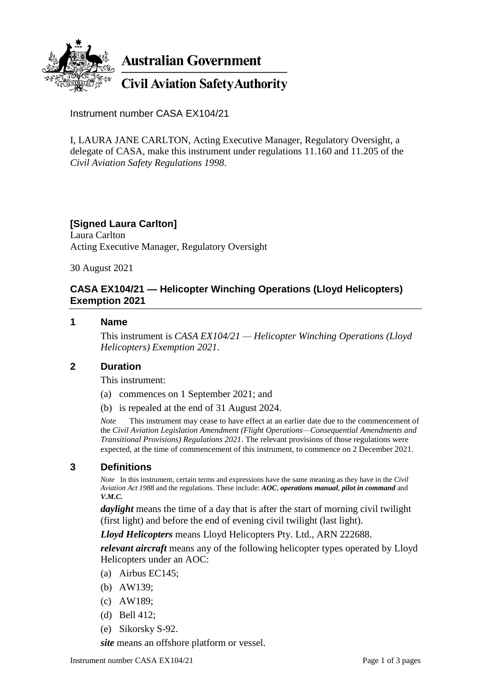

Instrument number CASA EX104/21

I, LAURA JANE CARLTON, Acting Executive Manager, Regulatory Oversight, a delegate of CASA, make this instrument under regulations 11.160 and 11.205 of the *Civil Aviation Safety Regulations 1998*.

## **[Signed Laura Carlton]**

Laura Carlton Acting Executive Manager, Regulatory Oversight

30 August 2021

## **CASA EX104/21 — Helicopter Winching Operations (Lloyd Helicopters) Exemption 2021**

#### **1 Name**

This instrument is *CASA EX104/21 — Helicopter Winching Operations (Lloyd Helicopters) Exemption 2021*.

#### **2 Duration**

This instrument:

- (a) commences on 1 September 2021; and
- (b) is repealed at the end of 31 August 2024.

*Note* This instrument may cease to have effect at an earlier date due to the commencement of the *Civil Aviation Legislation Amendment (Flight Operations—Consequential Amendments and Transitional Provisions) Regulations 2021*. The relevant provisions of those regulations were expected, at the time of commencement of this instrument, to commence on 2 December 2021.

## **3 Definitions**

*Note* In this instrument, certain terms and expressions have the same meaning as they have in the *Civil Aviation Act 1988* and the regulations. These include: *AOC*, *operations manual*, *pilot in command* and *V.M.C.*

*daylight* means the time of a day that is after the start of morning civil twilight (first light) and before the end of evening civil twilight (last light).

*Lloyd Helicopters* means Lloyd Helicopters Pty. Ltd., ARN 222688.

*relevant aircraft* means any of the following helicopter types operated by Lloyd Helicopters under an AOC:

- (a) Airbus EC145;
- (b) AW139;
- (c) AW189;
- (d) Bell 412;
- (e) Sikorsky S-92.

*site* means an offshore platform or vessel.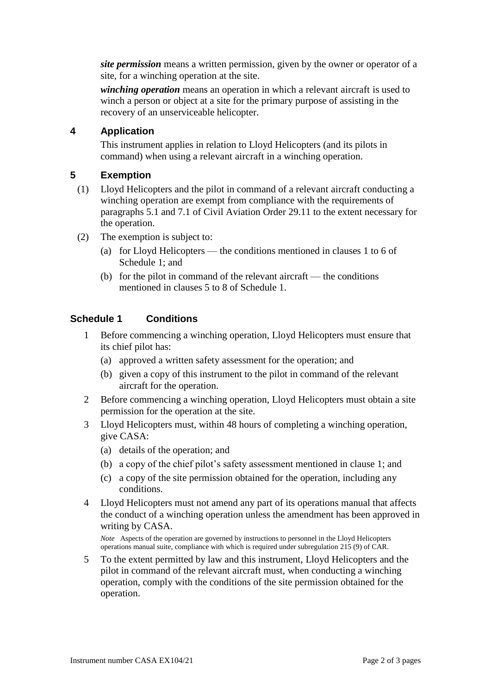*site permission* means a written permission, given by the owner or operator of a site, for a winching operation at the site.

*winching operation* means an operation in which a relevant aircraft is used to winch a person or object at a site for the primary purpose of assisting in the recovery of an unserviceable helicopter.

## **4 Application**

This instrument applies in relation to Lloyd Helicopters (and its pilots in command) when using a relevant aircraft in a winching operation.

## **5 Exemption**

- (1) Lloyd Helicopters and the pilot in command of a relevant aircraft conducting a winching operation are exempt from compliance with the requirements of paragraphs 5.1 and 7.1 of Civil Aviation Order 29.11 to the extent necessary for the operation.
- (2) The exemption is subject to:
	- (a) for Lloyd Helicopters the conditions mentioned in clauses 1 to 6 of Schedule 1; and
	- (b) for the pilot in command of the relevant aircraft the conditions mentioned in clauses 5 to 8 of Schedule 1.

# **Schedule 1 Conditions**

- 1 Before commencing a winching operation, Lloyd Helicopters must ensure that its chief pilot has:
	- (a) approved a written safety assessment for the operation; and
	- (b) given a copy of this instrument to the pilot in command of the relevant aircraft for the operation.
- 2 Before commencing a winching operation, Lloyd Helicopters must obtain a site permission for the operation at the site.
- 3 Lloyd Helicopters must, within 48 hours of completing a winching operation, give CASA:
	- (a) details of the operation; and
	- (b) a copy of the chief pilot's safety assessment mentioned in clause 1; and
	- (c) a copy of the site permission obtained for the operation, including any conditions.
- 4 Lloyd Helicopters must not amend any part of its operations manual that affects the conduct of a winching operation unless the amendment has been approved in writing by CASA.

*Note* Aspects of the operation are governed by instructions to personnel in the Lloyd Helicopters operations manual suite, compliance with which is required under subregulation 215 (9) of CAR.

5 To the extent permitted by law and this instrument, Lloyd Helicopters and the pilot in command of the relevant aircraft must, when conducting a winching operation, comply with the conditions of the site permission obtained for the operation.